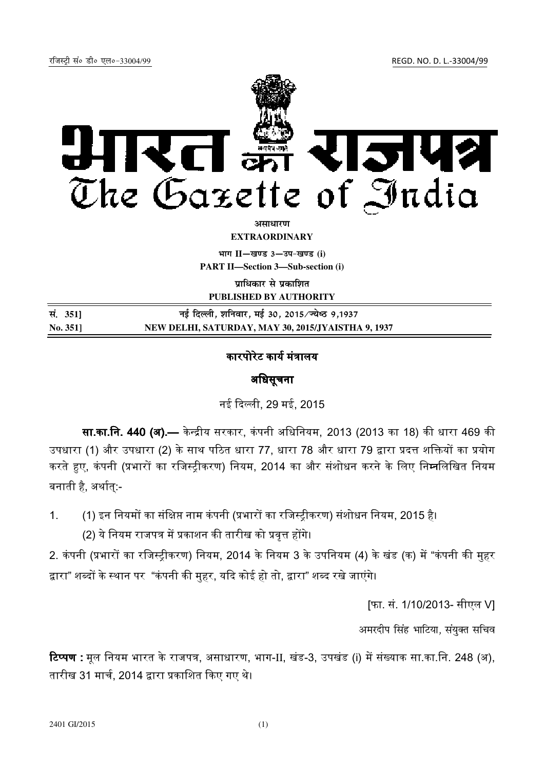रजिस्ट्री सं० डी० एल०-33004/99 रजिल्ह्या अस्ति । अर्थातिका अस्ति । अर्थातिका अस्ति । अर्थातिका अस्ति । अर्थाति



असाधार**ण EXTRAORDINARY**

**Hkkx II**—**[k.M 3**—**mi&[k.M (i)**

**PART II—Section 3—Sub-section (i)** 

**प्राधिकार से प्रकाशित** 

**PUBLISHED BY AUTHORITY**

| सं. 351] | नई दिल्ली, शनिवार, मई 30, 2015/ज्येष्ठ 9,1937      |
|----------|----------------------------------------------------|
| No. 351  | NEW DELHI, SATURDAY, MAY 30, 2015/JYAISTHA 9, 1937 |

## कारपोरेट कार्य मंत्रालय

## अधिसचना

नई द ली, 29 मई, 2015

**सा.का.नि. 440 (अ).—** केन्द्रीय सरकार, कंपनी अधिनियम, 2013 (2013 का 18) की धारा 469 की उपधारा (1) और उपधारा (2) के साथ पठित धारा 77, धारा 78 और धारा 79 द्वारा प्रदत्त शक्तियों का प्रयोग करते हए, कंपनी (प्रभारों का रजिस्टीकरण) नियम, 2014 का और संशोधन करने के लिए नि**म्न**लिखित नियम बनाती है, अर्थात:-

1. (1) इन नियमों का संक्षिप्त नाम कंपनी (प्रभारों का रजिस्ट्रीकरण) संशोधन नियम, 2015 है। (2) ये नियम राजपत्र में प्रकाशन की तारीख को प्रवृत्त होंगे।

2. कंपनी (प्रभारों का रजिस्टीकरण) नियम, 2014 के नियम 3 के उपनियम (4) के खंड (क) में "कंपनी की महर द्वारा" शब्दों के स्थान पर "कंपनी की मुहर, यदि कोई हो तो, द्वारा" शब्द रखे जाएंगे।

[फा. सं. 1/10/2013- सीएल V]

अमरदीप सिंह भाटिया, संयुक्त सचिव

**टिप्पण :** मूल नियम भारत के राजपत्र, असाधारण, भाग-II, खंड-3, उपखंड (i) में संख्याक सा.का.नि. 248 (अ), तारीख 31 मार्च, 2014 द्वारा प्रकाशित किए गए थे।